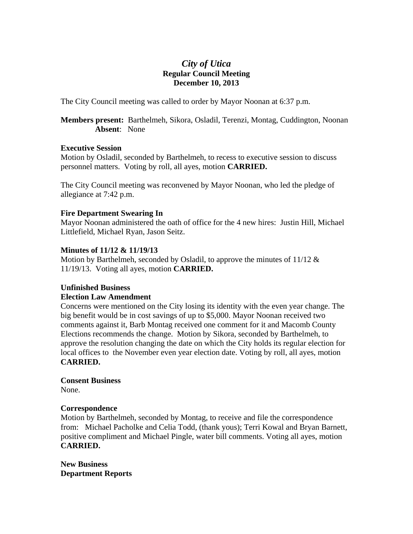# *City of Utica*  **Regular Council Meeting December 10, 2013**

The City Council meeting was called to order by Mayor Noonan at 6:37 p.m.

**Members present:** Barthelmeh, Sikora, Osladil, Terenzi, Montag, Cuddington, Noonan **Absent**: None

#### **Executive Session**

Motion by Osladil, seconded by Barthelmeh, to recess to executive session to discuss personnel matters. Voting by roll, all ayes, motion **CARRIED.** 

The City Council meeting was reconvened by Mayor Noonan, who led the pledge of allegiance at 7:42 p.m.

# **Fire Department Swearing In**

Mayor Noonan administered the oath of office for the 4 new hires: Justin Hill, Michael Littlefield, Michael Ryan, Jason Seitz.

# **Minutes of 11/12 & 11/19/13**

Motion by Barthelmeh, seconded by Osladil, to approve the minutes of 11/12 & 11/19/13. Voting all ayes, motion **CARRIED.** 

# **Unfinished Business**

#### **Election Law Amendment**

Concerns were mentioned on the City losing its identity with the even year change. The big benefit would be in cost savings of up to \$5,000. Mayor Noonan received two comments against it, Barb Montag received one comment for it and Macomb County Elections recommends the change. Motion by Sikora, seconded by Barthelmeh, to approve the resolution changing the date on which the City holds its regular election for local offices to the November even year election date. Voting by roll, all ayes, motion **CARRIED.**

# **Consent Business**

None.

# **Correspondence**

Motion by Barthelmeh, seconded by Montag, to receive and file the correspondence from: Michael Pacholke and Celia Todd, (thank yous); Terri Kowal and Bryan Barnett, positive compliment and Michael Pingle, water bill comments. Voting all ayes, motion **CARRIED.**

**New Business Department Reports**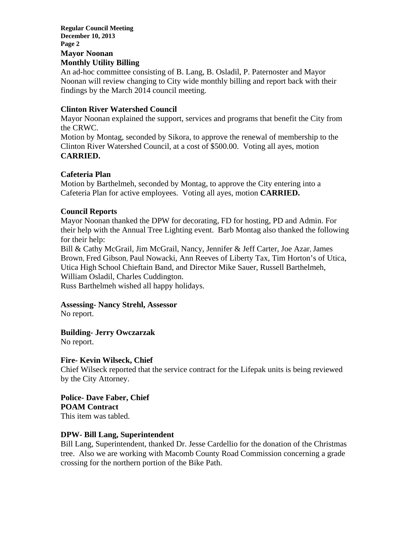#### **Regular Council Meeting December 10, 2013 Page 2 Mayor Noonan Monthly Utility Billing**

An ad-hoc committee consisting of B. Lang, B. Osladil, P. Paternoster and Mayor Noonan will review changing to City wide monthly billing and report back with their findings by the March 2014 council meeting.

# **Clinton River Watershed Council**

Mayor Noonan explained the support, services and programs that benefit the City from the CRWC.

Motion by Montag, seconded by Sikora, to approve the renewal of membership to the Clinton River Watershed Council, at a cost of \$500.00. Voting all ayes, motion **CARRIED.** 

# **Cafeteria Plan**

Motion by Barthelmeh, seconded by Montag, to approve the City entering into a Cafeteria Plan for active employees. Voting all ayes, motion **CARRIED.** 

# **Council Reports**

Mayor Noonan thanked the DPW for decorating, FD for hosting, PD and Admin. For their help with the Annual Tree Lighting event. Barb Montag also thanked the following for their help:

Bill & Cathy McGrail, Jim McGrail, Nancy, Jennifer & Jeff Carter, Joe Azar, James Brown, Fred Gibson, Paul Nowacki, Ann Reeves of Liberty Tax, Tim Horton's of Utica, Utica High School Chieftain Band, and Director Mike Sauer, Russell Barthelmeh, William Osladil, Charles Cuddington.

Russ Barthelmeh wished all happy holidays.

#### **Assessing- Nancy Strehl, Assessor**

No report.

**Building- Jerry Owczarzak** 

No report.

#### **Fire- Kevin Wilseck, Chief**

Chief Wilseck reported that the service contract for the Lifepak units is being reviewed by the City Attorney.

**Police- Dave Faber, Chief POAM Contract**  This item was tabled.

#### **DPW- Bill Lang, Superintendent**

Bill Lang, Superintendent, thanked Dr. Jesse Cardellio for the donation of the Christmas tree. Also we are working with Macomb County Road Commission concerning a grade crossing for the northern portion of the Bike Path.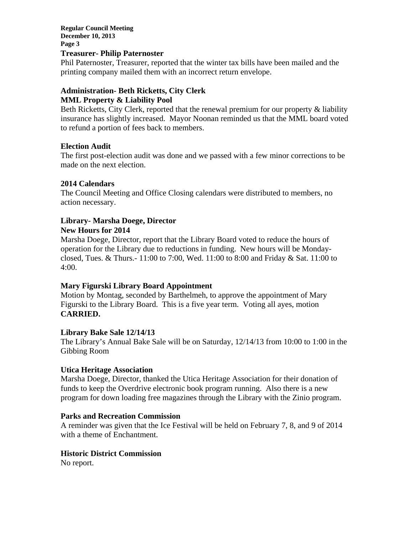**Regular Council Meeting December 10, 2013 Page 3** 

#### **Treasurer- Philip Paternoster**

Phil Paternoster, Treasurer, reported that the winter tax bills have been mailed and the printing company mailed them with an incorrect return envelope.

# **Administration- Beth Ricketts, City Clerk**

# **MML Property & Liability Pool**

Beth Ricketts, City Clerk, reported that the renewal premium for our property & liability insurance has slightly increased. Mayor Noonan reminded us that the MML board voted to refund a portion of fees back to members.

# **Election Audit**

The first post-election audit was done and we passed with a few minor corrections to be made on the next election.

# **2014 Calendars**

The Council Meeting and Office Closing calendars were distributed to members, no action necessary.

# **Library- Marsha Doege, Director**

# **New Hours for 2014**

Marsha Doege, Director, report that the Library Board voted to reduce the hours of operation for the Library due to reductions in funding. New hours will be Mondayclosed, Tues. & Thurs.- 11:00 to 7:00, Wed. 11:00 to 8:00 and Friday & Sat. 11:00 to 4:00.

# **Mary Figurski Library Board Appointment**

Motion by Montag, seconded by Barthelmeh, to approve the appointment of Mary Figurski to the Library Board. This is a five year term. Voting all ayes, motion **CARRIED.** 

#### **Library Bake Sale 12/14/13**

The Library's Annual Bake Sale will be on Saturday, 12/14/13 from 10:00 to 1:00 in the Gibbing Room

#### **Utica Heritage Association**

Marsha Doege, Director, thanked the Utica Heritage Association for their donation of funds to keep the Overdrive electronic book program running. Also there is a new program for down loading free magazines through the Library with the Zinio program.

#### **Parks and Recreation Commission**

A reminder was given that the Ice Festival will be held on February 7, 8, and 9 of 2014 with a theme of Enchantment.

#### **Historic District Commission**

No report.